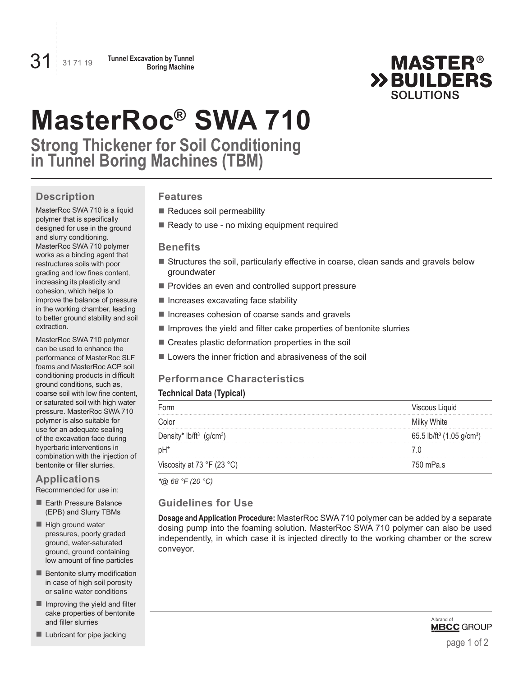

# **MasterRoc® SWA 710**

**Strong Thickener for Soil Conditioning in Tunnel Boring Machines (TBM)**

## **Description**

MasterRoc SWA 710 is a liquid polymer that is specifically designed for use in the ground and slurry conditioning. MasterRoc SWA 710 polymer works as a binding agent that restructures soils with poor grading and low fines content, increasing its plasticity and cohesion, which helps to improve the balance of pressure in the working chamber, leading to better ground stability and soil extraction.

MasterRoc SWA 710 polymer can be used to enhance the performance of MasterRoc SLF foams and MasterRoc ACP soil conditioning products in difficult ground conditions, such as, coarse soil with low fine content, or saturated soil with high water pressure. MasterRoc SWA 710 polymer is also suitable for use for an adequate sealing of the excavation face during hyperbaric interventions in combination with the injection of bentonite or filler slurries.

## **Applications**

Recommended for use in:

- Earth Pressure Balance (EPB) and Slurry TBMs
- High ground water pressures, poorly graded ground, water-saturated ground, ground containing low amount of fine particles
- $\blacksquare$  Bentonite slurry modification in case of high soil porosity or saline water conditions
- $\blacksquare$  Improving the yield and filter cake properties of bentonite and filler slurries

 $\blacksquare$  Lubricant for pipe jacking

## **Features**

- Reduces soil permeability
- Ready to use no mixing equipment required

#### **Benefits**

- Structures the soil, particularly effective in coarse, clean sands and gravels below groundwater
- Provides an even and controlled support pressure
- **Increases excavating face stability**
- Increases cohesion of coarse sands and gravels
- **Improves the yield and filter cake properties of bentonite slurries**
- Creates plastic deformation properties in the soil
- $\blacksquare$  Lowers the inner friction and abrasiveness of the soil

## **Performance Characteristics**

## **Technical Data (Typical)**

| Form                           | Viscous Liquid                                    |
|--------------------------------|---------------------------------------------------|
| Color                          | Milky White                                       |
| Density* lb/ft $3$ (g/cm $3$ ) | 65.5 lb/ft <sup>3</sup> (1.05 g/cm <sup>3</sup> ) |
| pH*                            |                                                   |
| Viscosity at 73 °F (23 °C)     | 750 mPa.s                                         |

*\*@ 68 °F (20 °C)*

## **Guidelines for Use**

**Dosage and Application Procedure:** MasterRoc SWA 710 polymer can be added by a separate dosing pump into the foaming solution. MasterRoc SWA 710 polymer can also be used independently, in which case it is injected directly to the working chamber or the screw conveyor.